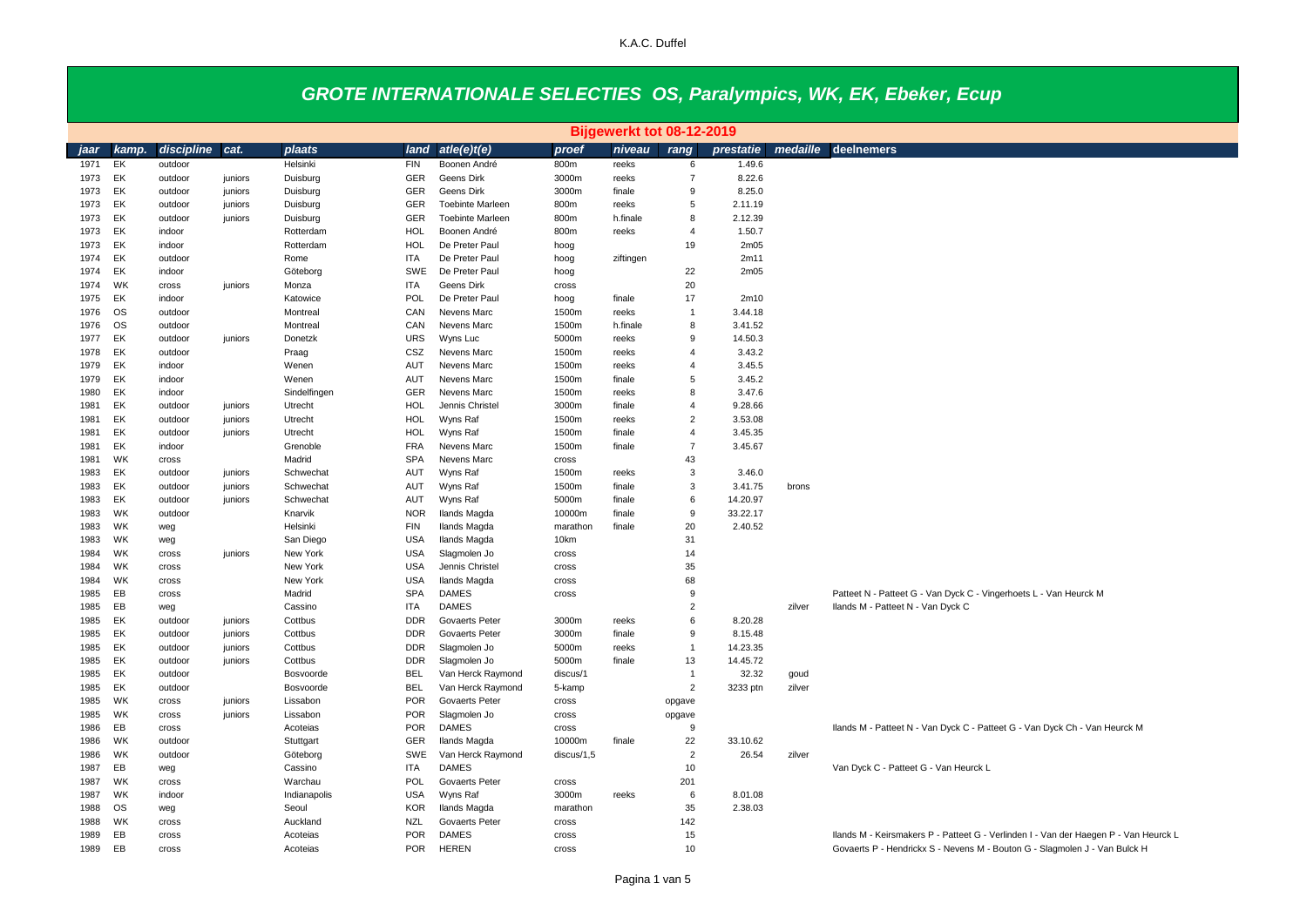|      |           |            |         |              |                          |                                       |            | Bijgewerkt tot 08-12-2019 |                |                  |          |                                                                                      |
|------|-----------|------------|---------|--------------|--------------------------|---------------------------------------|------------|---------------------------|----------------|------------------|----------|--------------------------------------------------------------------------------------|
| jaar | kamp.     | discipline | cat.    | plaats       | land                     | atle(e)t(e)                           | proef      | niveau                    | rang           | prestatie        | medaille | deelnemers                                                                           |
| 1971 | EK        | outdoor    |         | Helsinki     | <b>FIN</b>               | Boonen André                          | 800m       | reeks                     | 6              | 1.49.6           |          |                                                                                      |
| 1973 | EK        | outdoor    | juniors | Duisburg     | <b>GER</b>               | Geens Dirk                            | 3000m      | reeks                     | $\overline{7}$ | 8.22.6           |          |                                                                                      |
| 1973 | EK        | outdoor    | juniors | Duisburg     | GER                      | Geens Dirk                            | 3000m      | finale                    | 9              | 8.25.0           |          |                                                                                      |
| 1973 | EK        | outdoor    | juniors | Duisburg     | GER                      | <b>Toebinte Marleen</b>               | 800m       | reeks                     | 5              | 2.11.19          |          |                                                                                      |
| 1973 | EK        | outdoor    | juniors | Duisburg     | <b>GER</b>               | <b>Toebinte Marleen</b>               | 800m       | h.finale                  | 8              | 2.12.39          |          |                                                                                      |
| 1973 | EK        | indoor     |         | Rotterdam    | HOL                      | Boonen André                          | 800m       | reeks                     | $\overline{4}$ | 1.50.7           |          |                                                                                      |
| 1973 | EK        | indoor     |         | Rotterdam    | HOL                      | De Preter Paul                        | hoog       |                           | 19             | 2m05             |          |                                                                                      |
| 1974 | EK        | outdoor    |         | Rome         | <b>ITA</b>               | De Preter Paul                        | hoog       | ziftingen                 |                | 2m11             |          |                                                                                      |
| 1974 | EK        | indoor     |         | Göteborg     | SWE                      | De Preter Paul                        | hoog       |                           | 22             | 2m <sub>05</sub> |          |                                                                                      |
| 1974 | WK        | cross      | juniors | Monza        | <b>ITA</b>               | Geens Dirk                            | cross      |                           | 20             |                  |          |                                                                                      |
| 1975 | EK        | indoor     |         | Katowice     | POL                      | De Preter Paul                        | hoog       | finale                    | 17             | 2m10             |          |                                                                                      |
| 1976 | <b>OS</b> | outdoor    |         | Montreal     | CAN                      | Nevens Marc                           | 1500m      | reeks                     | $\mathbf{1}$   | 3.44.18          |          |                                                                                      |
| 1976 | <b>OS</b> | outdoor    |         | Montreal     | CAN                      | Nevens Marc                           | 1500m      | h.finale                  | 8              | 3.41.52          |          |                                                                                      |
| 1977 | EK        | outdoor    | juniors | Donetzk      | <b>URS</b>               | Wyns Luc                              | 5000m      | reeks                     | 9              | 14.50.3          |          |                                                                                      |
| 1978 | EK        | outdoor    |         | Praag        | CSZ                      | Nevens Marc                           | 1500m      | reeks                     | $\overline{4}$ | 3.43.2           |          |                                                                                      |
| 1979 | EK        | indoor     |         | Wenen        | AUT                      | Nevens Marc                           | 1500m      | reeks                     | $\overline{4}$ | 3.45.5           |          |                                                                                      |
| 1979 | EK        | indoor     |         | Wenen        | AUT                      | Nevens Marc                           | 1500m      | finale                    | 5              | 3.45.2           |          |                                                                                      |
| 1980 | EK        | indoor     |         | Sindelfingen | <b>GER</b>               | Nevens Marc                           | 1500m      | reeks                     | 8              | 3.47.6           |          |                                                                                      |
| 1981 | EK        | outdoor    | juniors | Utrecht      | HOL                      | Jennis Christel                       | 3000m      | finale                    | $\overline{4}$ | 9.28.66          |          |                                                                                      |
| 1981 | EK        | outdoor    | juniors | Utrecht      | <b>HOL</b>               | Wyns Raf                              | 1500m      | reeks                     | $\overline{2}$ | 3.53.08          |          |                                                                                      |
| 1981 | EK        | outdoor    | juniors | Utrecht      | <b>HOL</b>               | Wyns Raf                              | 1500m      | finale                    | $\overline{4}$ | 3.45.35          |          |                                                                                      |
| 1981 | EK        | indoor     |         | Grenoble     | <b>FRA</b>               | Nevens Marc                           | 1500m      | finale                    | $\overline{7}$ | 3.45.67          |          |                                                                                      |
| 1981 | WK        | cross      |         | Madrid       | <b>SPA</b>               | Nevens Marc                           | cross      |                           | 43             |                  |          |                                                                                      |
| 1983 | EK.       | outdoor    | juniors | Schwechat    | AUT                      | Wyns Raf                              | 1500m      | reeks                     | 3              | 3.46.0           |          |                                                                                      |
| 1983 | EK        | outdoor    | juniors | Schwechat    | AUT                      | Wyns Raf                              | 1500m      | finale                    | 3              | 3.41.75          | brons    |                                                                                      |
| 1983 | EK        | outdoor    | juniors | Schwechat    | AUT                      | Wyns Raf                              | 5000m      | finale                    | 6              | 14.20.97         |          |                                                                                      |
| 1983 | <b>WK</b> | outdoor    |         | Knarvik      | <b>NOR</b>               | Ilands Magda                          | 10000m     | finale                    | 9              | 33.22.17         |          |                                                                                      |
| 1983 | WK        | weg        |         | Helsinki     | <b>FIN</b>               | Ilands Magda                          | marathon   | finale                    | 20             | 2.40.52          |          |                                                                                      |
| 1983 | <b>WK</b> | weg        |         | San Diego    | <b>USA</b>               | Ilands Magda                          | 10km       |                           | 31             |                  |          |                                                                                      |
| 1984 | WK        | cross      | juniors | New York     | <b>USA</b>               | Slagmolen Jo                          | cross      |                           | 14             |                  |          |                                                                                      |
| 1984 | WK        | cross      |         | New York     | <b>USA</b>               | Jennis Christel                       | cross      |                           | 35             |                  |          |                                                                                      |
| 1984 | WK        | cross      |         | New York     | <b>USA</b>               | <b>Ilands Magda</b>                   | cross      |                           | 68             |                  |          |                                                                                      |
| 1985 | EB        | cross      |         | Madrid       | <b>SPA</b>               | <b>DAMES</b>                          | cross      |                           | 9              |                  |          | Patteet N - Patteet G - Van Dyck C - Vingerhoets L - Van Heurck M                    |
| 1985 | EB        | weg        |         | Cassino      | <b>ITA</b>               | <b>DAMES</b>                          |            |                           | $\overline{2}$ |                  | zilver   | Ilands M - Patteet N - Van Dyck C                                                    |
| 1985 | EK        | outdoor    | juniors | Cottbus      | <b>DDR</b>               | <b>Govaerts Peter</b>                 | 3000m      | reeks                     | 6              | 8.20.28          |          |                                                                                      |
| 1985 | EK        | outdoor    | juniors | Cottbus      | <b>DDR</b>               | <b>Govaerts Peter</b>                 | 3000m      | finale                    | 9              | 8.15.48          |          |                                                                                      |
| 1985 | EK        | outdoor    | juniors | Cottbus      | <b>DDR</b>               | Slagmolen Jo                          | 5000m      | reeks                     | $\mathbf{1}$   | 14.23.35         |          |                                                                                      |
| 1985 | EK        | outdoor    | juniors | Cottbus      | <b>DDR</b>               | Slagmolen Jo                          | 5000m      | finale                    | 13             | 14.45.72         |          |                                                                                      |
| 1985 | EK        | outdoor    |         | Bosvoorde    | <b>BEL</b>               | Van Herck Raymond                     | discus/1   |                           | $\mathbf{1}$   | 32.32            | goud     |                                                                                      |
| 1985 | EK        | outdoor    |         | Bosvoorde    | <b>BEL</b>               | Van Herck Raymond                     | 5-kamp     |                           | $\overline{2}$ | 3233 ptn         | zilver   |                                                                                      |
| 1985 | WK        | cross      | juniors | Lissabon     | <b>POR</b>               | <b>Govaerts Peter</b>                 | cross      |                           | opgave         |                  |          |                                                                                      |
| 1985 | WK        | cross      | juniors | Lissabon     | <b>POR</b>               | Slagmolen Jo                          | cross      |                           | opgave         |                  |          |                                                                                      |
| 1986 | EB        | cross      |         | Acoteias     | <b>POR</b>               | <b>DAMES</b>                          | cross      |                           | 9              |                  |          | Ilands M - Patteet N - Van Dyck C - Patteet G - Van Dyck Ch - Van Heurck M           |
| 1986 | WK        | outdoor    |         | Stuttgart    | <b>GER</b>               | Ilands Magda                          | 10000m     | finale                    | 22             | 33.10.62         |          |                                                                                      |
| 1986 | WK        | outdoor    |         | Göteborg     | SWE                      | Van Herck Raymond                     | discus/1,5 |                           | $\overline{2}$ | 26.54            | zilver   |                                                                                      |
| 1987 | EB        | weg        |         | Cassino      | <b>ITA</b>               | <b>DAMES</b>                          |            |                           | 10             |                  |          | Van Dyck C - Patteet G - Van Heurck L                                                |
| 1987 | WK        | cross      |         | Warchau      | POL                      | Govaerts Peter                        | cross      |                           | 201            |                  |          |                                                                                      |
| 1987 | <b>WK</b> | indoor     |         | Indianapolis | <b>USA</b>               | Wyns Raf                              | 3000m      | reeks                     | 6              | 8.01.08          |          |                                                                                      |
| 1988 | <b>OS</b> | weg        |         | Seoul        | <b>KOR</b>               | Ilands Magda                          | marathon   |                           | 35<br>142      | 2.38.03          |          |                                                                                      |
| 1988 | WK<br>EB  | cross      |         | Auckland     | <b>NZL</b><br><b>POR</b> | <b>Govaerts Peter</b><br><b>DAMES</b> | cross      |                           | 15             |                  |          |                                                                                      |
| 1989 | EB        | cross      |         | Acoteias     | <b>POR</b>               | <b>HEREN</b>                          | cross      |                           | 10             |                  |          | Ilands M - Keirsmakers P - Patteet G - Verlinden I - Van der Haegen P - Van Heurck L |
| 1989 |           | cross      |         | Acoteias     |                          |                                       | cross      |                           |                |                  |          | Govaerts P - Hendrickx S - Nevens M - Bouton G - Slagmolen J - Van Bulck H           |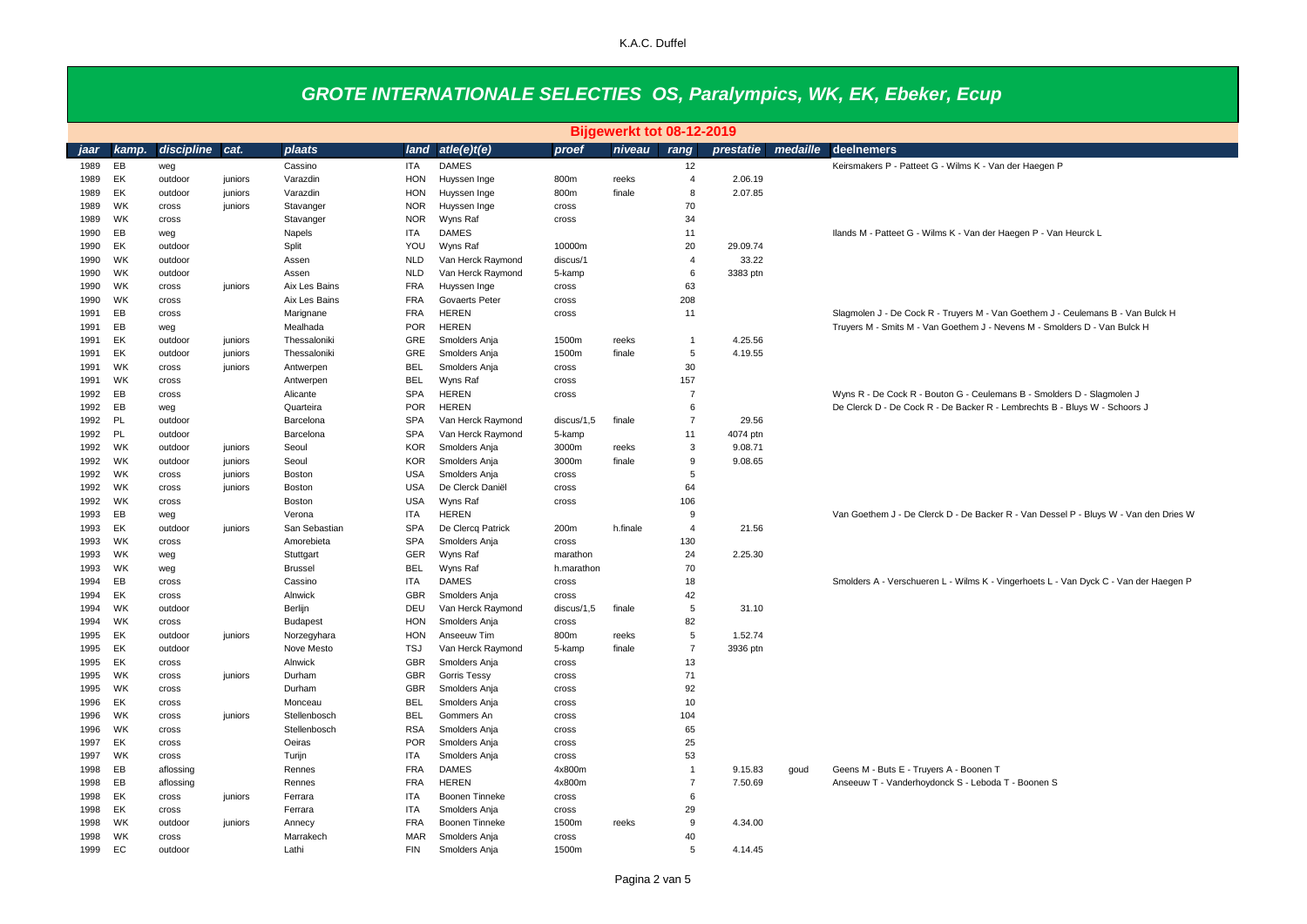|              | Bijgewerkt tot 08-12-2019 |                  |         |                         |                          |                                 |                 |          |                |                    |          |                                                                                               |
|--------------|---------------------------|------------------|---------|-------------------------|--------------------------|---------------------------------|-----------------|----------|----------------|--------------------|----------|-----------------------------------------------------------------------------------------------|
| iaar         | kamp.                     | discipline       | cat.    | plaats                  | land                     | atle(e)t(e)                     | proef           | niveau   | rang           | prestatie          | medaille | deelnemers                                                                                    |
| 1989         | EB                        | weg              |         | Cassino                 | <b>ITA</b>               | <b>DAMES</b>                    |                 |          | 12             |                    |          | Keirsmakers P - Patteet G - Wilms K - Van der Haegen P                                        |
| 1989         | EK                        | outdoor          | juniors | Varazdin                | HON                      | Huyssen Inge                    | 800m            | reeks    | $\overline{4}$ | 2.06.19            |          |                                                                                               |
| 1989         | EK                        | outdoor          | juniors | Varazdin                | <b>HON</b>               | Huyssen Inge                    | 800m            | finale   | 8              | 2.07.85            |          |                                                                                               |
| 1989         | WK                        | cross            | juniors | Stavanger               | <b>NOR</b>               | Huyssen Inge                    | cross           |          | 70             |                    |          |                                                                                               |
| 1989         | <b>WK</b>                 | cross            |         | Stavanger               | <b>NOR</b>               | Wyns Raf                        | cross           |          | 34             |                    |          |                                                                                               |
| 1990         | EB                        | weg              |         | Napels                  | <b>ITA</b>               | <b>DAMES</b>                    |                 |          | 11             |                    |          | Ilands M - Patteet G - Wilms K - Van der Haegen P - Van Heurck L                              |
| 1990         | EK                        | outdoor          |         | Split                   | YOU                      | Wyns Raf                        | 10000m          |          | 20             | 29.09.74           |          |                                                                                               |
| 1990         | WK                        | outdoor          |         | Assen                   | <b>NLD</b>               | Van Herck Raymond               | discus/1        |          | $\overline{4}$ | 33.22              |          |                                                                                               |
| 1990         | WK                        | outdoor          |         | Assen                   | <b>NLD</b>               | Van Herck Raymond               | 5-kamp          |          | 6              | 3383 ptn           |          |                                                                                               |
| 1990         | <b>WK</b>                 | cross            | juniors | Aix Les Bains           | <b>FRA</b>               | Huyssen Inge                    | cross           |          | 63             |                    |          |                                                                                               |
| 1990         | WK                        | cross            |         | Aix Les Bains           | <b>FRA</b>               | Govaerts Peter                  | cross           |          | 208            |                    |          |                                                                                               |
| 1991         | EB                        | cross            |         | Marignane               | <b>FRA</b>               | <b>HEREN</b>                    | cross           |          | 11             |                    |          | Slagmolen J - De Cock R - Truyers M - Van Goethem J - Ceulemans B - Van Bulck H               |
| 1991         | EB                        | weg              |         | Mealhada                | <b>POR</b>               | <b>HEREN</b>                    |                 |          |                |                    |          | Truyers M - Smits M - Van Goethem J - Nevens M - Smolders D - Van Bulck H                     |
| 1991         | EK                        | outdoor          | juniors | Thessaloniki            | GRE                      | Smolders Anja                   | 1500m           | reeks    | $\overline{1}$ | 4.25.56            |          |                                                                                               |
| 1991         | EK                        | outdoor          | juniors | Thessaloniki            | GRE                      | Smolders Anja                   | 1500m           | finale   | 5              | 4.19.55            |          |                                                                                               |
| 1991         | WK                        | cross            | juniors | Antwerpen               | <b>BEL</b>               | Smolders Anja                   | cross           |          | 30             |                    |          |                                                                                               |
| 1991         | <b>WK</b>                 | cross            |         | Antwerpen               | <b>BEL</b>               | Wyns Raf                        | cross           |          | 157            |                    |          |                                                                                               |
| 1992         | EB                        | cross            |         | Alicante                | <b>SPA</b>               | <b>HEREN</b>                    | cross           |          | $\overline{7}$ |                    |          | Wyns R - De Cock R - Bouton G - Ceulemans B - Smolders D - Slagmolen J                        |
| 1992         | EB                        | weg              |         | Quarteira               | <b>POR</b>               | <b>HEREN</b>                    |                 |          | 6              |                    |          | De Clerck D - De Cock R - De Backer R - Lembrechts B - Bluys W - Schoors J                    |
| 1992         | PL                        | outdoor          |         | Barcelona               | <b>SPA</b>               | Van Herck Raymond               | discus/1,5      | finale   | $\overline{7}$ | 29.56              |          |                                                                                               |
| 1992         | PL                        | outdoor          |         | Barcelona               | SPA                      | Van Herck Raymond               | 5-kamp          |          | 11             | 4074 ptn           |          |                                                                                               |
| 1992         | WK                        | outdoor          | juniors | Seoul                   | <b>KOR</b>               | Smolders Anja                   | 3000m           | reeks    | 3              | 9.08.71            |          |                                                                                               |
| 1992         | WK                        | outdoor          | juniors | Seoul                   | <b>KOR</b>               | Smolders Anja                   | 3000m           | finale   | 9              | 9.08.65            |          |                                                                                               |
| 1992         | <b>WK</b>                 | cross            | juniors | Boston                  | <b>USA</b>               | Smolders Ania                   | cross           |          | 5              |                    |          |                                                                                               |
| 1992         | WK                        | cross            | juniors | Boston                  | <b>USA</b>               | De Clerck Daniël                | cross           |          | 64             |                    |          |                                                                                               |
| 1992         | <b>WK</b>                 | cross            |         | Boston                  | <b>USA</b>               | Wyns Raf                        | cross           |          | 106            |                    |          |                                                                                               |
| 1993         | EB                        | weg              |         | Verona                  | <b>ITA</b>               | <b>HEREN</b>                    |                 |          | 9              |                    |          | Van Goethem J - De Clerck D - De Backer R - Van Dessel P - Bluys W - Van den Dries W          |
| 1993         | EK                        | outdoor          | juniors | San Sebastian           | <b>SPA</b>               | De Clercq Patrick               | 200m            | h.finale | $\overline{4}$ | 21.56              |          |                                                                                               |
| 1993         | WK                        | cross            |         | Amorebieta              | <b>SPA</b>               | Smolders Anja                   | cross           |          | 130            |                    |          |                                                                                               |
| 1993         | WK                        | weg              |         | Stuttgart               | <b>GER</b>               | Wyns Raf                        | marathon        |          | 24             | 2.25.30            |          |                                                                                               |
| 1993         | <b>WK</b>                 | weg              |         | <b>Brussel</b>          | <b>BEL</b>               | Wyns Raf                        | h.marathon      |          | 70             |                    |          |                                                                                               |
| 1994         | EB                        | cross            |         | Cassino                 | ITA                      | <b>DAMES</b>                    | cross           |          | 18             |                    |          | Smolders A - Verschueren L - Wilms K - Vingerhoets L - Van Dyck C - Van der Haegen P          |
| 1994         | EK                        | cross            |         | Alnwick                 | <b>GBR</b>               | Smolders Anja                   | cross           |          | 42             |                    |          |                                                                                               |
| 1994         | <b>WK</b>                 | outdoor          |         | Berlijn                 | DEU                      | Van Herck Raymond               | discus/1,5      | finale   | 5              | 31.10              |          |                                                                                               |
| 1994         | <b>WK</b>                 | cross            |         | <b>Budapest</b>         | <b>HON</b>               | Smolders Anja                   | cross           |          | 82             |                    |          |                                                                                               |
| 1995         | EK                        | outdoor          | juniors | Norzegyhara             | <b>HON</b>               | Anseeuw Tim                     | 800m            | reeks    | 5              | 1.52.74            |          |                                                                                               |
| 1995         | EK                        | outdoor          |         | Nove Mesto              | <b>TSJ</b>               | Van Herck Raymond               | 5-kamp          | finale   | $\overline{7}$ | 3936 ptn           |          |                                                                                               |
| 1995         | EK                        | cross            |         | Alnwick                 | <b>GBR</b>               | Smolders Anja                   | cross           |          | 13<br>71       |                    |          |                                                                                               |
| 1995         | WK<br><b>WK</b>           | cross            | juniors | Durham                  | <b>GBR</b>               | Gorris Tessy                    | cross           |          | 92             |                    |          |                                                                                               |
| 1995         | EK                        | cross            |         | Durham                  | <b>GBR</b><br><b>BEL</b> | Smolders Anja<br>Smolders Anja  | cross           |          | 10             |                    |          |                                                                                               |
| 1996<br>1996 | WK                        | cross            | juniors | Monceau<br>Stellenbosch | <b>BEL</b>               | Gommers An                      | cross           |          | 104            |                    |          |                                                                                               |
| 1996         | <b>WK</b>                 | cross<br>cross   |         | Stellenbosch            | <b>RSA</b>               |                                 | cross<br>cross  |          | 65             |                    |          |                                                                                               |
|              |                           |                  |         |                         |                          | Smolders Anja                   |                 |          |                |                    |          |                                                                                               |
| 1997<br>1997 | EK<br><b>WK</b>           | cross            |         | Oeiras<br>Turijn        | <b>POR</b><br><b>ITA</b> | Smolders Anja<br>Smolders Anja  | cross           |          | 25<br>53       |                    |          |                                                                                               |
|              |                           | cross            |         |                         | <b>FRA</b>               | <b>DAMES</b>                    | cross<br>4x800m |          | $\overline{1}$ |                    |          |                                                                                               |
| 1998         | EB<br>EB                  | aflossing        |         | Rennes                  | <b>FRA</b>               | <b>HEREN</b>                    | 4x800m          |          | $\overline{7}$ | 9.15.83<br>7.50.69 | goud     | Geens M - Buts E - Truyers A - Boonen T<br>Anseeuw T - Vanderhoydonck S - Leboda T - Boonen S |
| 1998<br>1998 | EK                        | aflossing        | juniors | Rennes<br>Ferrara       | <b>ITA</b>               | Boonen Tinneke                  | cross           |          | 6              |                    |          |                                                                                               |
| 1998         | EK                        | cross            |         |                         | <b>ITA</b>               |                                 |                 |          | 29             |                    |          |                                                                                               |
| 1998         | <b>WK</b>                 | cross<br>outdoor | juniors | Ferrara<br>Annecy       | <b>FRA</b>               | Smolders Anja<br>Boonen Tinneke | cross<br>1500m  | reeks    | 9              | 4.34.00            |          |                                                                                               |
| 1998         | <b>WK</b>                 |                  |         | Marrakech               | <b>MAR</b>               | Smolders Anja                   | cross           |          | 40             |                    |          |                                                                                               |
| 1999         | EC                        | cross<br>outdoor |         | Lathi                   | <b>FIN</b>               | Smolders Anja                   | 1500m           |          | 5              | 4.14.45            |          |                                                                                               |
|              |                           |                  |         |                         |                          |                                 |                 |          |                |                    |          |                                                                                               |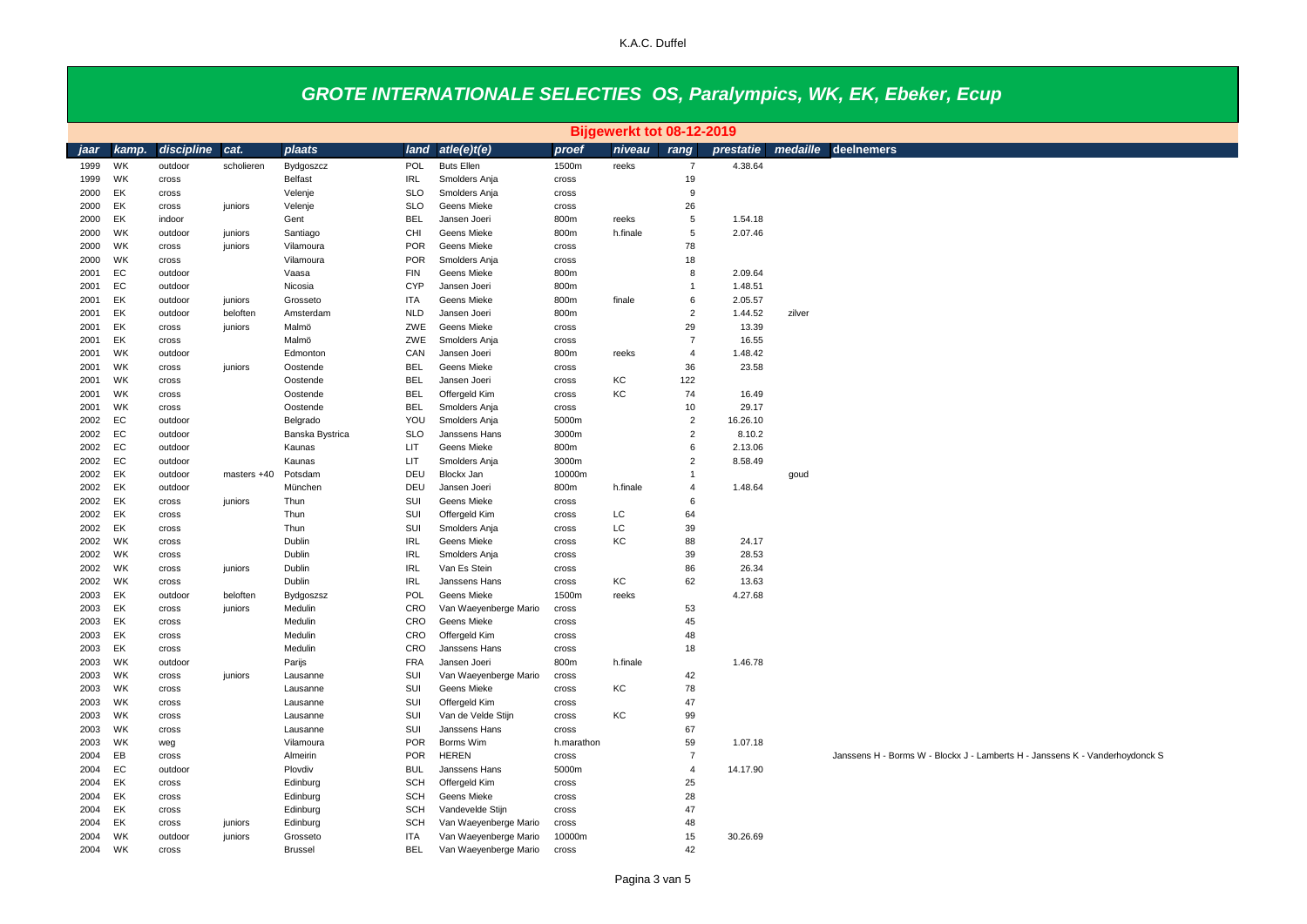|              |                 | Bijgewerkt tot 08-12-2019 |             |                  |                          |                               |                |          |                |                |          |                                                                              |
|--------------|-----------------|---------------------------|-------------|------------------|--------------------------|-------------------------------|----------------|----------|----------------|----------------|----------|------------------------------------------------------------------------------|
| jaar         | kamp.           | discipline                | cat.        | plaats           | land                     | ate(e)t(e)                    | proef          | niveau   | rang           | prestatie      | medaille | deelnemers                                                                   |
| 1999         | WK              | outdoor                   | scholieren  | Bydgoszcz        | POL                      | <b>Buts Ellen</b>             | 1500m          | reeks    | $\overline{7}$ | 4.38.64        |          |                                                                              |
| 1999         | WK              | cross                     |             | Belfast          | <b>IRL</b>               | Smolders Anja                 | cross          |          | 19             |                |          |                                                                              |
| 2000         | EK              | cross                     |             | Velenje          | <b>SLO</b>               | Smolders Anja                 | cross          |          | 9              |                |          |                                                                              |
| 2000         | EK              | cross                     | juniors     | Velenje          | <b>SLO</b>               | Geens Mieke                   | cross          |          | 26             |                |          |                                                                              |
| 2000         | EK              | indoor                    |             | Gent             | <b>BEL</b>               | Jansen Joeri                  | 800m           | reeks    | 5              | 1.54.18        |          |                                                                              |
| 2000         | WK              | outdoor                   | juniors     | Santiago         | CHI                      | Geens Mieke                   | 800m           | h.finale | 5              | 2.07.46        |          |                                                                              |
| 2000         | WK              | cross                     | juniors     | Vilamoura        | <b>POR</b>               | Geens Mieke                   | cross          |          | 78             |                |          |                                                                              |
| 2000         | <b>WK</b>       | cross                     |             | Vilamoura        | <b>POR</b>               | Smolders Anja                 | cross          |          | 18             |                |          |                                                                              |
| 2001         | EC              | outdoor                   |             | Vaasa            | <b>FIN</b>               | Geens Mieke                   | 800m           |          | 8              | 2.09.64        |          |                                                                              |
| 2001         | EC              | outdoor                   |             | Nicosia          | <b>CYP</b>               | Jansen Joeri                  | 800m           |          | $\mathbf{1}$   | 1.48.51        |          |                                                                              |
| 2001         | EK              | outdoor                   | juniors     | Grosseto         | <b>ITA</b>               | Geens Mieke                   | 800m           | finale   | 6              | 2.05.57        |          |                                                                              |
| 2001         | EK              | outdoor                   | beloften    | Amsterdam        | <b>NLD</b>               | Jansen Joeri                  | 800m           |          | $\overline{2}$ | 1.44.52        | zilver   |                                                                              |
| 2001         | EK              | cross                     | juniors     | Malmö            | ZWE                      | Geens Mieke                   | cross          |          | 29             | 13.39          |          |                                                                              |
| 2001         | EK              | cross                     |             | Malmö            | ZWE                      | Smolders Anja                 | cross          |          | $\overline{7}$ | 16.55          |          |                                                                              |
| 2001         | WK              | outdoor                   |             | Edmonton         | CAN                      | Jansen Joeri                  | 800m           | reeks    | $\overline{4}$ | 1.48.42        |          |                                                                              |
| 2001         | WK              | cross                     | juniors     | Oostende         | <b>BEL</b>               | Geens Mieke                   | cross          |          | 36             | 23.58          |          |                                                                              |
| 2001         | WK              | cross                     |             | Oostende         | <b>BEL</b>               | Jansen Joeri                  | cross          | KC       | 122            |                |          |                                                                              |
| 2001         | <b>WK</b>       | cross                     |             | Oostende         | <b>BEL</b>               | Offergeld Kim                 | cross          | KC       | 74             | 16.49          |          |                                                                              |
| 2001         | WK              | cross                     |             | Oostende         | <b>BEL</b>               | Smolders Anja                 | cross          |          | 10             | 29.17          |          |                                                                              |
| 2002         | EC              | outdoor                   |             | Belgrado         | YOU                      | Smolders Anja                 | 5000m          |          | $\overline{2}$ | 16.26.10       |          |                                                                              |
| 2002         | EC              | outdoor                   |             | Banska Bystrica  | <b>SLO</b>               | Janssens Hans                 | 3000m          |          | $\overline{2}$ | 8.10.2         |          |                                                                              |
| 2002         | EC              | outdoor                   |             | Kaunas           | LIT                      | Geens Mieke                   | 800m           |          | 6              | 2.13.06        |          |                                                                              |
| 2002         | EC              | outdoor                   |             | Kaunas           | LIT                      | Smolders Anja                 | 3000m          |          | $\overline{2}$ | 8.58.49        |          |                                                                              |
| 2002         | EK              | outdoor                   | masters +40 | Potsdam          | DEU                      | Blockx Jan                    | 10000m         |          | $\mathbf{1}$   |                | goud     |                                                                              |
| 2002         | EK              | outdoor                   |             | München          | DEU                      | Jansen Joeri                  | 800m           | h.finale | $\overline{4}$ | 1.48.64        |          |                                                                              |
| 2002         | EK              | cross                     | juniors     | Thun             | SUI                      | Geens Mieke                   | cross          |          | 6              |                |          |                                                                              |
| 2002         | EK              | cross                     |             | Thun             | SUI                      | Offergeld Kim                 | cross          | LC       | 64             |                |          |                                                                              |
| 2002         | EK<br><b>WK</b> | cross                     |             | Thun             | SUI                      | Smolders Anja                 | cross          | LC       | 39             |                |          |                                                                              |
| 2002         | WK              | cross                     |             | Dublin           | <b>IRL</b><br><b>IRL</b> | Geens Mieke                   | cross          | KC       | 88             | 24.17          |          |                                                                              |
| 2002<br>2002 | <b>WK</b>       | cross                     | juniors     | Dublin<br>Dublin | <b>IRL</b>               | Smolders Anja<br>Van Es Stein | cross          |          | 39<br>86       | 28.53<br>26.34 |          |                                                                              |
| 2002         | WK              | cross<br>cross            |             | Dublin           | <b>IRL</b>               | Janssens Hans                 | cross<br>cross | KC       | 62             | 13.63          |          |                                                                              |
| 2003         | EK              | outdoor                   | beloften    | Bydgoszsz        | POL                      | Geens Mieke                   | 1500m          | reeks    |                | 4.27.68        |          |                                                                              |
| 2003         | EK              | cross                     | juniors     | Medulin          | CRO                      | Van Waeyenberge Mario         | cross          |          | 53             |                |          |                                                                              |
| 2003         | EK              | cross                     |             | Medulin          | CRO                      | Geens Mieke                   | cross          |          | 45             |                |          |                                                                              |
| 2003         | EK              | cross                     |             | Medulin          | CRO                      | Offergeld Kim                 | cross          |          | 48             |                |          |                                                                              |
| 2003         | EK              | cross                     |             | Medulin          | CRO                      | Janssens Hans                 | cross          |          | 18             |                |          |                                                                              |
| 2003         | WK              | outdoor                   |             | Parijs           | <b>FRA</b>               | Jansen Joeri                  | 800m           | h.finale |                | 1.46.78        |          |                                                                              |
| 2003         | WK              | cross                     | juniors     | Lausanne         | SUI                      | Van Waeyenberge Mario         | cross          |          | 42             |                |          |                                                                              |
| 2003         | WK              | cross                     |             | Lausanne         | SUI                      | Geens Mieke                   | cross          | КC       | 78             |                |          |                                                                              |
| 2003         | WK              | cross                     |             | Lausanne         | SUI                      | Offergeld Kim                 | cross          |          | 47             |                |          |                                                                              |
| 2003         | <b>WK</b>       | cross                     |             | Lausanne         | SUI                      | Van de Velde Stijn            | cross          | KC       | 99             |                |          |                                                                              |
| 2003         | WK              | cross                     |             | Lausanne         | SUI                      | Janssens Hans                 | cross          |          | 67             |                |          |                                                                              |
| 2003         | <b>WK</b>       | weg                       |             | Vilamoura        | <b>POR</b>               | Borms Wim                     | h.marathon     |          | 59             | 1.07.18        |          |                                                                              |
| 2004         | EB              | cross                     |             | Almeirin         | <b>POR</b>               | <b>HEREN</b>                  | cross          |          | $\overline{7}$ |                |          | Janssens H - Borms W - Blockx J - Lamberts H - Janssens K - Vanderhoydonck S |
| 2004         | EC              | outdoor                   |             | Plovdiv          | <b>BUL</b>               | Janssens Hans                 | 5000m          |          | $\overline{4}$ | 14.17.90       |          |                                                                              |
| 2004         | EK              | cross                     |             | Edinburg         | <b>SCH</b>               | Offergeld Kim                 | cross          |          | 25             |                |          |                                                                              |
| 2004         | EK              | cross                     |             | Edinburg         | <b>SCH</b>               | Geens Mieke                   | cross          |          | 28             |                |          |                                                                              |
| 2004         | EK              | cross                     |             | Edinburg         | <b>SCH</b>               | Vandevelde Stijn              | cross          |          | 47             |                |          |                                                                              |
| 2004         | EK              | cross                     | juniors     | Edinburg         | <b>SCH</b>               | Van Waeyenberge Mario         | cross          |          | 48             |                |          |                                                                              |
| 2004         | WK              | outdoor                   | juniors     | Grosseto         | <b>ITA</b>               | Van Waeyenberge Mario         | 10000m         |          | 15             | 30.26.69       |          |                                                                              |
| 2004         | WK              | cross                     |             | <b>Brussel</b>   | <b>BEL</b>               | Van Waeyenberge Mario         | cross          |          | 42             |                |          |                                                                              |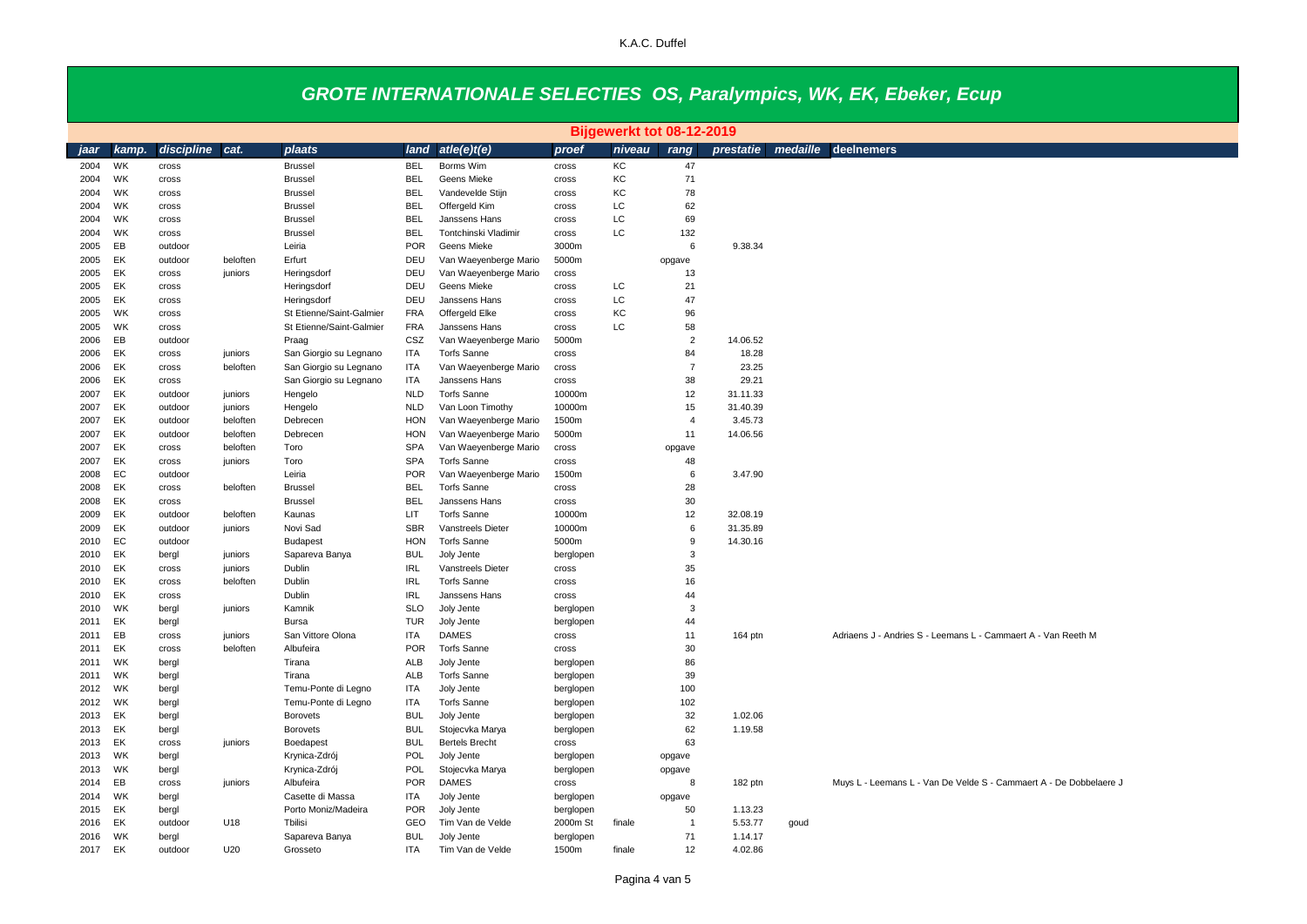|              | Bijgewerkt tot 08-12-2019 |                    |          |                             |                   |                                         |                 |        |                |                      |      |                                                                    |  |
|--------------|---------------------------|--------------------|----------|-----------------------------|-------------------|-----------------------------------------|-----------------|--------|----------------|----------------------|------|--------------------------------------------------------------------|--|
| iaar         | kamp.                     | discipline         | cat.     | plaats                      | land              | ate(e)t(e)                              | proef           | niveau | rang           | prestatie            |      | medaille deelnemers                                                |  |
| 2004         | WK                        | cross              |          | <b>Brussel</b>              | <b>BEL</b>        | Borms Wim                               | cross           | KC     | 47             |                      |      |                                                                    |  |
| 2004         | WK                        | cross              |          | <b>Brussel</b>              | <b>BEL</b>        | Geens Mieke                             | cross           | KC     | 71             |                      |      |                                                                    |  |
| 2004         | WK                        | cross              |          | <b>Brussel</b>              | <b>BEL</b>        | Vandevelde Stijn                        | cross           | KC     | 78             |                      |      |                                                                    |  |
| 2004         | WK                        | cross              |          | <b>Brussel</b>              | <b>BEL</b>        | Offergeld Kim                           | cross           | LC     | 62             |                      |      |                                                                    |  |
| 2004         | WK                        | cross              |          | <b>Brussel</b>              | <b>BEL</b>        | Janssens Hans                           | cross           | LC     | 69             |                      |      |                                                                    |  |
| 2004         | WK                        | cross              |          | <b>Brussel</b>              | <b>BEL</b>        | Tontchinski Vladimir                    | cross           | LC.    | 132            |                      |      |                                                                    |  |
| 2005         | EB                        | outdoor            |          | Leiria                      | <b>POR</b>        | Geens Mieke                             | 3000m           |        | 6              | 9.38.34              |      |                                                                    |  |
| 2005         | EK                        | outdoor            | beloften | Erfurt                      | DEU               | Van Waeyenberge Mario                   | 5000m           |        | opgave         |                      |      |                                                                    |  |
| 2005         | EK                        | cross              | juniors  | Heringsdorf                 | DEU               | Van Waeyenberge Mario                   | cross           |        | 13             |                      |      |                                                                    |  |
| 2005         | EK                        | cross              |          | Heringsdorf                 | DEU               | Geens Mieke                             | cross           | LC     | 21             |                      |      |                                                                    |  |
| 2005         | EK                        | cross              |          | Heringsdorf                 | DEU               | Janssens Hans                           | cross           | LC     | 47             |                      |      |                                                                    |  |
| 2005         | WK                        | cross              |          | St Etienne/Saint-Galmier    | <b>FRA</b>        | Offergeld Elke                          | cross           | KC     | 96             |                      |      |                                                                    |  |
| 2005         | WK                        | cross              |          | St Etienne/Saint-Galmier    | <b>FRA</b>        | Janssens Hans                           | cross           | LC.    | 58             |                      |      |                                                                    |  |
| 2006         | EB                        | outdoor            |          | Praag                       | CSZ               | Van Waeyenberge Mario                   | 5000m           |        | $\overline{2}$ | 14.06.52             |      |                                                                    |  |
| 2006         | EK                        | cross              | juniors  | San Giorgio su Legnano      | <b>ITA</b>        | <b>Torfs Sanne</b>                      | cross           |        | 84             | 18.28                |      |                                                                    |  |
| 2006         | EK                        | cross              | beloften | San Giorgio su Legnano      | ITA               | Van Waeyenberge Mario                   | cross           |        | $\overline{7}$ | 23.25                |      |                                                                    |  |
| 2006         | EK                        | cross              |          | San Giorgio su Legnano      | <b>ITA</b>        | Janssens Hans                           | cross           |        | 38             | 29.21                |      |                                                                    |  |
| 2007         | EK                        | outdoor            | juniors  | Hengelo                     | <b>NLD</b>        | <b>Torfs Sanne</b>                      | 10000m          |        | 12             | 31.11.33             |      |                                                                    |  |
| 2007         | EK                        | outdoor            | juniors  | Hengelo                     | <b>NLD</b>        | Van Loon Timothy                        | 10000m          |        | 15             | 31.40.39             |      |                                                                    |  |
| 2007         | EK                        | outdoor            | beloften | Debrecen                    | <b>HON</b>        | Van Waeyenberge Mario                   | 1500m           |        | $\overline{4}$ | 3.45.73              |      |                                                                    |  |
| 2007         | EK                        | outdoor            | beloften | Debrecen                    | <b>HON</b>        | Van Waeyenberge Mario                   | 5000m           |        | 11             | 14.06.56             |      |                                                                    |  |
| 2007         | EK                        | cross              | beloften | Toro                        | <b>SPA</b>        | Van Waeyenberge Mario                   | cross           |        | opgave         |                      |      |                                                                    |  |
| 2007         | EK                        | cross              | juniors  | Toro                        | <b>SPA</b>        | Torfs Sanne                             | cross           |        | 48             |                      |      |                                                                    |  |
| 2008         | EC                        | outdoor            |          | Leiria                      | <b>POR</b>        | Van Waeyenberge Mario                   | 1500m           |        | 6              | 3.47.90              |      |                                                                    |  |
| 2008         | EK                        | cross              | beloften | <b>Brussel</b>              | <b>BEL</b>        | <b>Torfs Sanne</b>                      | cross           |        | 28             |                      |      |                                                                    |  |
| 2008         | EK                        | cross              |          | <b>Brussel</b>              | <b>BEL</b>        | Janssens Hans                           | cross           |        | 30             |                      |      |                                                                    |  |
| 2009         | EK<br>EK                  | outdoor            | beloften | Kaunas                      | LIT<br><b>SBR</b> | <b>Torfs Sanne</b>                      | 10000m          |        | 12<br>6        | 32.08.19             |      |                                                                    |  |
| 2009<br>2010 | EC                        | outdoor<br>outdoor | juniors  | Novi Sad<br><b>Budapest</b> | <b>HON</b>        | Vanstreels Dieter<br><b>Torfs Sanne</b> | 10000m<br>5000m |        | 9              | 31.35.89<br>14.30.16 |      |                                                                    |  |
| 2010         | EK                        |                    | juniors  | Sapareva Banya              | <b>BUL</b>        | Joly Jente                              | berglopen       |        | 3              |                      |      |                                                                    |  |
| 2010         | EK                        | bergl<br>cross     | juniors  | Dublin                      | <b>IRL</b>        | Vanstreels Dieter                       | cross           |        | 35             |                      |      |                                                                    |  |
| 2010         | EK                        | cross              | beloften | Dublin                      | <b>IRL</b>        | <b>Torfs Sanne</b>                      | cross           |        | 16             |                      |      |                                                                    |  |
| 2010         | EK                        | cross              |          | Dublin                      | <b>IRL</b>        | Janssens Hans                           | cross           |        | 44             |                      |      |                                                                    |  |
| 2010         | WK                        | bergl              | juniors  | Kamnik                      | <b>SLO</b>        | Joly Jente                              | berglopen       |        | 3              |                      |      |                                                                    |  |
| 2011         | EK                        | bergl              |          | Bursa                       | <b>TUR</b>        | Joly Jente                              | berglopen       |        | 44             |                      |      |                                                                    |  |
| 2011         | EB                        | cross              | juniors  | San Vittore Olona           | <b>ITA</b>        | <b>DAMES</b>                            | cross           |        | 11             | 164 ptn              |      | Adriaens J - Andries S - Leemans L - Cammaert A - Van Reeth M      |  |
| 2011         | EK                        | cross              | beloften | Albufeira                   | POR               | <b>Torfs Sanne</b>                      | cross           |        | 30             |                      |      |                                                                    |  |
| 2011         | WK                        | bergl              |          | Tirana                      | <b>ALB</b>        | Joly Jente                              | berglopen       |        | 86             |                      |      |                                                                    |  |
| 2011         | <b>WK</b>                 | bergl              |          | Tirana                      | ALB               | <b>Torfs Sanne</b>                      | berglopen       |        | 39             |                      |      |                                                                    |  |
| 2012         | WK                        | bergl              |          | Temu-Ponte di Legno         | ITA               | Joly Jente                              | berglopen       |        | 100            |                      |      |                                                                    |  |
| 2012         | <b>WK</b>                 | bergl              |          | Temu-Ponte di Legno         | <b>ITA</b>        | <b>Torfs Sanne</b>                      | berglopen       |        | 102            |                      |      |                                                                    |  |
| 2013         | EK                        | bergl              |          | Borovets                    | <b>BUL</b>        | Joly Jente                              | berglopen       |        | 32             | 1.02.06              |      |                                                                    |  |
| 2013         | EK                        | bergl              |          | <b>Borovets</b>             | <b>BUL</b>        | Stojecvka Marya                         | berglopen       |        | 62             | 1.19.58              |      |                                                                    |  |
| 2013         | EK                        | cross              | juniors  | Boedapest                   | <b>BUL</b>        | <b>Bertels Brecht</b>                   | cross           |        | 63             |                      |      |                                                                    |  |
| 2013         | WK                        | bergl              |          | Krynica-Zdrój               | POL               | Joly Jente                              | berglopen       |        | opgave         |                      |      |                                                                    |  |
| 2013         | <b>WK</b>                 | bergl              |          | Krynica-Zdrój               | POL               | Stojecvka Marya                         | berglopen       |        | opgave         |                      |      |                                                                    |  |
| 2014         | EB                        | cross              | juniors  | Albufeira                   | <b>POR</b>        | <b>DAMES</b>                            | cross           |        | 8              | 182 ptn              |      | Muys L - Leemans L - Van De Velde S - Cammaert A - De Dobbelaere J |  |
| 2014         | WK                        | bergl              |          | Casette di Massa            | ITA.              | Joly Jente                              | berglopen       |        | opgave         |                      |      |                                                                    |  |
| 2015         | EK                        | bergl              |          | Porto Moniz/Madeira         | POR               | Joly Jente                              | berglopen       |        | 50             | 1.13.23              |      |                                                                    |  |
| 2016         | EK                        | outdoor            | U18      | Tbilisi                     | GEO               | Tim Van de Velde                        | 2000m St        | finale | $\overline{1}$ | 5.53.77              | goud |                                                                    |  |
| 2016         | WK                        | bergl              |          | Sapareva Banya              | <b>BUL</b>        | Joly Jente                              | berglopen       |        | 71             | 1.14.17              |      |                                                                    |  |
| 2017         | EK                        | outdoor            | U20      | Grosseto                    | <b>ITA</b>        | Tim Van de Velde                        | 1500m           | finale | 12             | 4.02.86              |      |                                                                    |  |